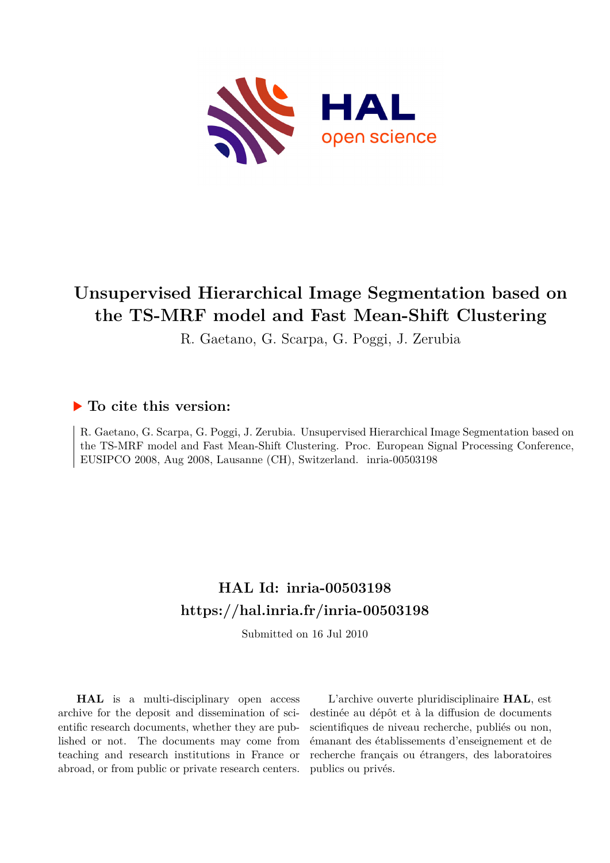

# **Unsupervised Hierarchical Image Segmentation based on the TS-MRF model and Fast Mean-Shift Clustering**

R. Gaetano, G. Scarpa, G. Poggi, J. Zerubia

### **To cite this version:**

R. Gaetano, G. Scarpa, G. Poggi, J. Zerubia. Unsupervised Hierarchical Image Segmentation based on the TS-MRF model and Fast Mean-Shift Clustering. Proc. European Signal Processing Conference, EUSIPCO 2008, Aug 2008, Lausanne (CH), Switzerland. inria-00503198

## **HAL Id: inria-00503198 <https://hal.inria.fr/inria-00503198>**

Submitted on 16 Jul 2010

**HAL** is a multi-disciplinary open access archive for the deposit and dissemination of scientific research documents, whether they are published or not. The documents may come from teaching and research institutions in France or abroad, or from public or private research centers.

L'archive ouverte pluridisciplinaire **HAL**, est destinée au dépôt et à la diffusion de documents scientifiques de niveau recherche, publiés ou non, émanant des établissements d'enseignement et de recherche français ou étrangers, des laboratoires publics ou privés.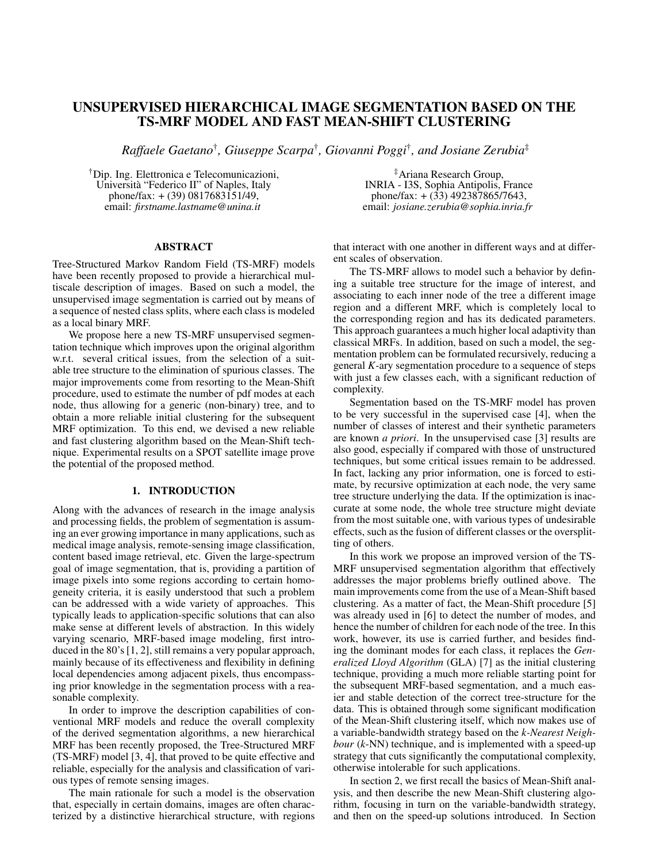### UNSUPERVISED HIERARCHICAL IMAGE SEGMENTATION BASED ON THE TS-MRF MODEL AND FAST MEAN-SHIFT CLUSTERING

*Raffaele Gaetano*† *, Giuseppe Scarpa*† *, Giovanni Poggi*† *, and Josiane Zerubia*‡

†Dip. Ing. Elettronica e Telecomunicazioni, Universita "Federico II" of Naples, Italy ` phone/fax:  $+(39)$  0817683151/49, email: *firstname.lastname@unina.it*

#### ABSTRACT

Tree-Structured Markov Random Field (TS-MRF) models have been recently proposed to provide a hierarchical multiscale description of images. Based on such a model, the unsupervised image segmentation is carried out by means of a sequence of nested class splits, where each class is modeled as a local binary MRF.

We propose here a new TS-MRF unsupervised segmentation technique which improves upon the original algorithm w.r.t. several critical issues, from the selection of a suitable tree structure to the elimination of spurious classes. The major improvements come from resorting to the Mean-Shift procedure, used to estimate the number of pdf modes at each node, thus allowing for a generic (non-binary) tree, and to obtain a more reliable initial clustering for the subsequent MRF optimization. To this end, we devised a new reliable and fast clustering algorithm based on the Mean-Shift technique. Experimental results on a SPOT satellite image prove the potential of the proposed method.

#### 1. INTRODUCTION

Along with the advances of research in the image analysis and processing fields, the problem of segmentation is assuming an ever growing importance in many applications, such as medical image analysis, remote-sensing image classification, content based image retrieval, etc. Given the large-spectrum goal of image segmentation, that is, providing a partition of image pixels into some regions according to certain homogeneity criteria, it is easily understood that such a problem can be addressed with a wide variety of approaches. This typically leads to application-specific solutions that can also make sense at different levels of abstraction. In this widely varying scenario, MRF-based image modeling, first introduced in the 80's [1, 2], still remains a very popular approach, mainly because of its effectiveness and flexibility in defining local dependencies among adjacent pixels, thus encompassing prior knowledge in the segmentation process with a reasonable complexity.

In order to improve the description capabilities of conventional MRF models and reduce the overall complexity of the derived segmentation algorithms, a new hierarchical MRF has been recently proposed, the Tree-Structured MRF (TS-MRF) model [3, 4], that proved to be quite effective and reliable, especially for the analysis and classification of various types of remote sensing images.

The main rationale for such a model is the observation that, especially in certain domains, images are often characterized by a distinctive hierarchical structure, with regions

‡Ariana Research Group, INRIA - I3S, Sophia Antipolis, France phone/fax:  $+$  (33) 492387865/7643, email: *josiane.zerubia@sophia.inria.fr*

that interact with one another in different ways and at different scales of observation.

The TS-MRF allows to model such a behavior by defining a suitable tree structure for the image of interest, and associating to each inner node of the tree a different image region and a different MRF, which is completely local to the corresponding region and has its dedicated parameters. This approach guarantees a much higher local adaptivity than classical MRFs. In addition, based on such a model, the segmentation problem can be formulated recursively, reducing a general *K*-ary segmentation procedure to a sequence of steps with just a few classes each, with a significant reduction of complexity.

Segmentation based on the TS-MRF model has proven to be very successful in the supervised case [4], when the number of classes of interest and their synthetic parameters are known *a priori*. In the unsupervised case [3] results are also good, especially if compared with those of unstructured techniques, but some critical issues remain to be addressed. In fact, lacking any prior information, one is forced to estimate, by recursive optimization at each node, the very same tree structure underlying the data. If the optimization is inaccurate at some node, the whole tree structure might deviate from the most suitable one, with various types of undesirable effects, such as the fusion of different classes or the oversplitting of others.

In this work we propose an improved version of the TS-MRF unsupervised segmentation algorithm that effectively addresses the major problems briefly outlined above. The main improvements come from the use of a Mean-Shift based clustering. As a matter of fact, the Mean-Shift procedure [5] was already used in [6] to detect the number of modes, and hence the number of children for each node of the tree. In this work, however, its use is carried further, and besides finding the dominant modes for each class, it replaces the *Generalized Lloyd Algorithm* (GLA) [7] as the initial clustering technique, providing a much more reliable starting point for the subsequent MRF-based segmentation, and a much easier and stable detection of the correct tree-structure for the data. This is obtained through some significant modification of the Mean-Shift clustering itself, which now makes use of a variable-bandwidth strategy based on the *k-Nearest Neighbour* (*k*-NN) technique, and is implemented with a speed-up strategy that cuts significantly the computational complexity, otherwise intolerable for such applications.

In section 2, we first recall the basics of Mean-Shift analysis, and then describe the new Mean-Shift clustering algorithm, focusing in turn on the variable-bandwidth strategy, and then on the speed-up solutions introduced. In Section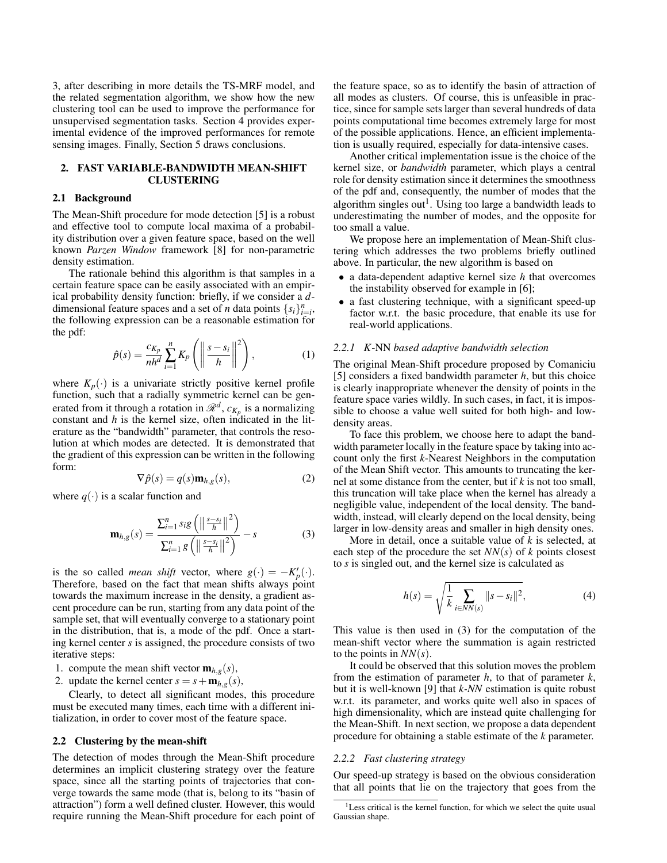3, after describing in more details the TS-MRF model, and the related segmentation algorithm, we show how the new clustering tool can be used to improve the performance for unsupervised segmentation tasks. Section 4 provides experimental evidence of the improved performances for remote sensing images. Finally, Section 5 draws conclusions.

#### 2. FAST VARIABLE-BANDWIDTH MEAN-SHIFT CLUSTERING

#### 2.1 Background

The Mean-Shift procedure for mode detection [5] is a robust and effective tool to compute local maxima of a probability distribution over a given feature space, based on the well known *Parzen Window* framework [8] for non-parametric density estimation.

The rationale behind this algorithm is that samples in a certain feature space can be easily associated with an empirical probability density function: briefly, if we consider a *d*dimensional feature spaces and a set of *n* data points  $\{s_i\}_{i=i}^n$ , the following expression can be a reasonable estimation for the pdf:

$$
\hat{p}(s) = \frac{c_{K_p}}{nh^d} \sum_{i=1}^n K_p \left( \left\| \frac{s - s_i}{h} \right\|^2 \right),\tag{1}
$$

where  $K_p(\cdot)$  is a univariate strictly positive kernel profile function, such that a radially symmetric kernel can be generated from it through a rotation in  $\mathcal{R}^d$ ,  $c_{K_p}$  is a normalizing constant and *h* is the kernel size, often indicated in the literature as the "bandwidth" parameter, that controls the resolution at which modes are detected. It is demonstrated that the gradient of this expression can be written in the following form:

$$
\nabla \hat{p}(s) = q(s) \mathbf{m}_{h,g}(s),\tag{2}
$$

where  $q(\cdot)$  is a scalar function and

$$
\mathbf{m}_{h,g}(s) = \frac{\sum_{i=1}^{n} s_i g\left(\left\|\frac{s-s_i}{h}\right\|^2\right)}{\sum_{i=1}^{n} g\left(\left\|\frac{s-s_i}{h}\right\|^2\right)} - s
$$
(3)

is the so called *mean shift* vector, where  $g(\cdot) = -K_p'(\cdot)$ . Therefore, based on the fact that mean shifts always point towards the maximum increase in the density, a gradient ascent procedure can be run, starting from any data point of the sample set, that will eventually converge to a stationary point in the distribution, that is, a mode of the pdf. Once a starting kernel center *s* is assigned, the procedure consists of two iterative steps:

- 1. compute the mean shift vector  $\mathbf{m}_{h,g}(s)$ ,
- 2. update the kernel center  $s = s + \mathbf{m}_{h,g}(s)$ ,

Clearly, to detect all significant modes, this procedure must be executed many times, each time with a different initialization, in order to cover most of the feature space.

#### 2.2 Clustering by the mean-shift

The detection of modes through the Mean-Shift procedure determines an implicit clustering strategy over the feature space, since all the starting points of trajectories that converge towards the same mode (that is, belong to its "basin of attraction") form a well defined cluster. However, this would require running the Mean-Shift procedure for each point of

the feature space, so as to identify the basin of attraction of all modes as clusters. Of course, this is unfeasible in practice, since for sample sets larger than several hundreds of data points computational time becomes extremely large for most of the possible applications. Hence, an efficient implementation is usually required, especially for data-intensive cases.

Another critical implementation issue is the choice of the kernel size, or *bandwidth* parameter, which plays a central role for density estimation since it determines the smoothness of the pdf and, consequently, the number of modes that the algorithm singles out<sup>1</sup>. Using too large a bandwidth leads to underestimating the number of modes, and the opposite for too small a value.

We propose here an implementation of Mean-Shift clustering which addresses the two problems briefly outlined above. In particular, the new algorithm is based on

- a data-dependent adaptive kernel size *h* that overcomes the instability observed for example in [6];
- a fast clustering technique, with a significant speed-up factor w.r.t. the basic procedure, that enable its use for real-world applications.

#### *2.2.1 K*-NN *based adaptive bandwidth selection*

The original Mean-Shift procedure proposed by Comaniciu [5] considers a fixed bandwidth parameter *h*, but this choice is clearly inappropriate whenever the density of points in the feature space varies wildly. In such cases, in fact, it is impossible to choose a value well suited for both high- and lowdensity areas.

To face this problem, we choose here to adapt the bandwidth parameter locally in the feature space by taking into account only the first *k*-Nearest Neighbors in the computation of the Mean Shift vector. This amounts to truncating the kernel at some distance from the center, but if *k* is not too small, this truncation will take place when the kernel has already a negligible value, independent of the local density. The bandwidth, instead, will clearly depend on the local density, being larger in low-density areas and smaller in high density ones.

More in detail, once a suitable value of *k* is selected, at each step of the procedure the set  $NN(s)$  of *k* points closest to *s* is singled out, and the kernel size is calculated as

$$
h(s) = \sqrt{\frac{1}{k} \sum_{i \in NN(s)} ||s - s_i||^2},
$$
 (4)

This value is then used in (3) for the computation of the mean-shift vector where the summation is again restricted to the points in *NN*(*s*).

It could be observed that this solution moves the problem from the estimation of parameter *h*, to that of parameter *k*, but it is well-known [9] that *k-NN* estimation is quite robust w.r.t. its parameter, and works quite well also in spaces of high dimensionality, which are instead quite challenging for the Mean-Shift. In next section, we propose a data dependent procedure for obtaining a stable estimate of the *k* parameter.

#### *2.2.2 Fast clustering strategy*

Our speed-up strategy is based on the obvious consideration that all points that lie on the trajectory that goes from the

<sup>&</sup>lt;sup>1</sup>Less critical is the kernel function, for which we select the quite usual Gaussian shape.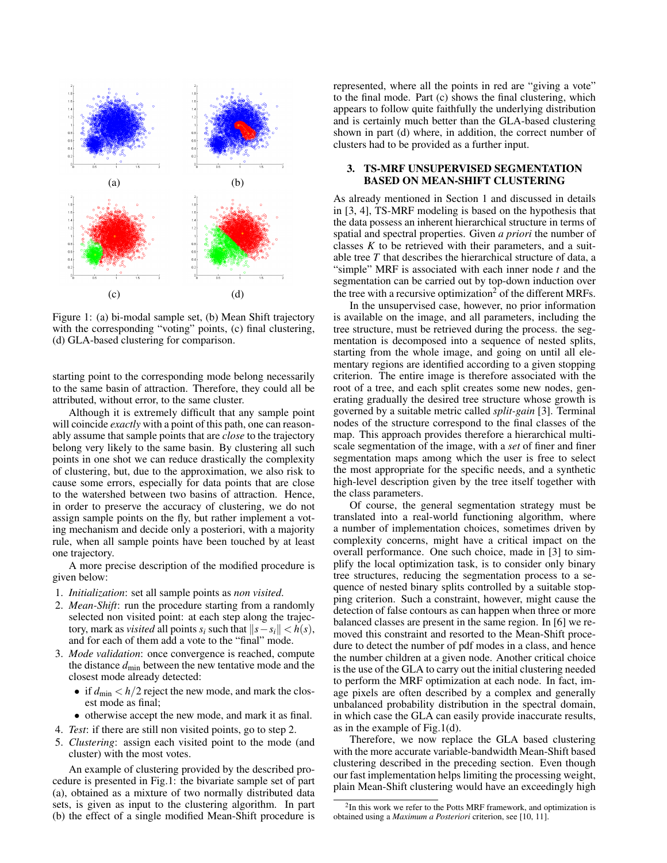

Figure 1: (a) bi-modal sample set, (b) Mean Shift trajectory with the corresponding "voting" points, (c) final clustering, (d) GLA-based clustering for comparison.

starting point to the corresponding mode belong necessarily to the same basin of attraction. Therefore, they could all be attributed, without error, to the same cluster.

Although it is extremely difficult that any sample point will coincide *exactly* with a point of this path, one can reasonably assume that sample points that are *close* to the trajectory belong very likely to the same basin. By clustering all such points in one shot we can reduce drastically the complexity of clustering, but, due to the approximation, we also risk to cause some errors, especially for data points that are close to the watershed between two basins of attraction. Hence, in order to preserve the accuracy of clustering, we do not assign sample points on the fly, but rather implement a voting mechanism and decide only a posteriori, with a majority rule, when all sample points have been touched by at least one trajectory.

A more precise description of the modified procedure is given below:

- 1. *Initialization*: set all sample points as *non visited*.
- 2. *Mean-Shift*: run the procedure starting from a randomly selected non visited point: at each step along the trajec*tory, mark as <i>visited* all points  $s_i$  such that  $||s − s_i|| < h(s)$ , and for each of them add a vote to the "final" mode.
- 3. *Mode validation*: once convergence is reached, compute the distance *d*min between the new tentative mode and the closest mode already detected:
	- if  $d_{\text{min}} < h/2$  reject the new mode, and mark the closest mode as final;
	- otherwise accept the new mode, and mark it as final.
- 4. *Test*: if there are still non visited points, go to step 2.
- 5. *Clustering*: assign each visited point to the mode (and cluster) with the most votes.

An example of clustering provided by the described procedure is presented in Fig.1: the bivariate sample set of part (a), obtained as a mixture of two normally distributed data sets, is given as input to the clustering algorithm. In part (b) the effect of a single modified Mean-Shift procedure is represented, where all the points in red are "giving a vote" to the final mode. Part (c) shows the final clustering, which appears to follow quite faithfully the underlying distribution and is certainly much better than the GLA-based clustering shown in part (d) where, in addition, the correct number of clusters had to be provided as a further input.

#### 3. TS-MRF UNSUPERVISED SEGMENTATION BASED ON MEAN-SHIFT CLUSTERING

As already mentioned in Section 1 and discussed in details in [3, 4], TS-MRF modeling is based on the hypothesis that the data possess an inherent hierarchical structure in terms of spatial and spectral properties. Given *a priori* the number of classes *K* to be retrieved with their parameters, and a suitable tree *T* that describes the hierarchical structure of data, a "simple" MRF is associated with each inner node *t* and the segmentation can be carried out by top-down induction over the tree with a recursive optimization<sup>2</sup> of the different MRFs.

In the unsupervised case, however, no prior information is available on the image, and all parameters, including the tree structure, must be retrieved during the process. the segmentation is decomposed into a sequence of nested splits, starting from the whole image, and going on until all elementary regions are identified according to a given stopping criterion. The entire image is therefore associated with the root of a tree, and each split creates some new nodes, generating gradually the desired tree structure whose growth is governed by a suitable metric called *split-gain* [3]. Terminal nodes of the structure correspond to the final classes of the map. This approach provides therefore a hierarchical multiscale segmentation of the image, with a *set* of finer and finer segmentation maps among which the user is free to select the most appropriate for the specific needs, and a synthetic high-level description given by the tree itself together with the class parameters.

Of course, the general segmentation strategy must be translated into a real-world functioning algorithm, where a number of implementation choices, sometimes driven by complexity concerns, might have a critical impact on the overall performance. One such choice, made in [3] to simplify the local optimization task, is to consider only binary tree structures, reducing the segmentation process to a sequence of nested binary splits controlled by a suitable stopping criterion. Such a constraint, however, might cause the detection of false contours as can happen when three or more balanced classes are present in the same region. In [6] we removed this constraint and resorted to the Mean-Shift procedure to detect the number of pdf modes in a class, and hence the number children at a given node. Another critical choice is the use of the GLA to carry out the initial clustering needed to perform the MRF optimization at each node. In fact, image pixels are often described by a complex and generally unbalanced probability distribution in the spectral domain, in which case the GLA can easily provide inaccurate results, as in the example of Fig.1(d).

Therefore, we now replace the GLA based clustering with the more accurate variable-bandwidth Mean-Shift based clustering described in the preceding section. Even though our fast implementation helps limiting the processing weight, plain Mean-Shift clustering would have an exceedingly high

<sup>&</sup>lt;sup>2</sup>In this work we refer to the Potts MRF framework, and optimization is obtained using a *Maximum a Posteriori* criterion, see [10, 11].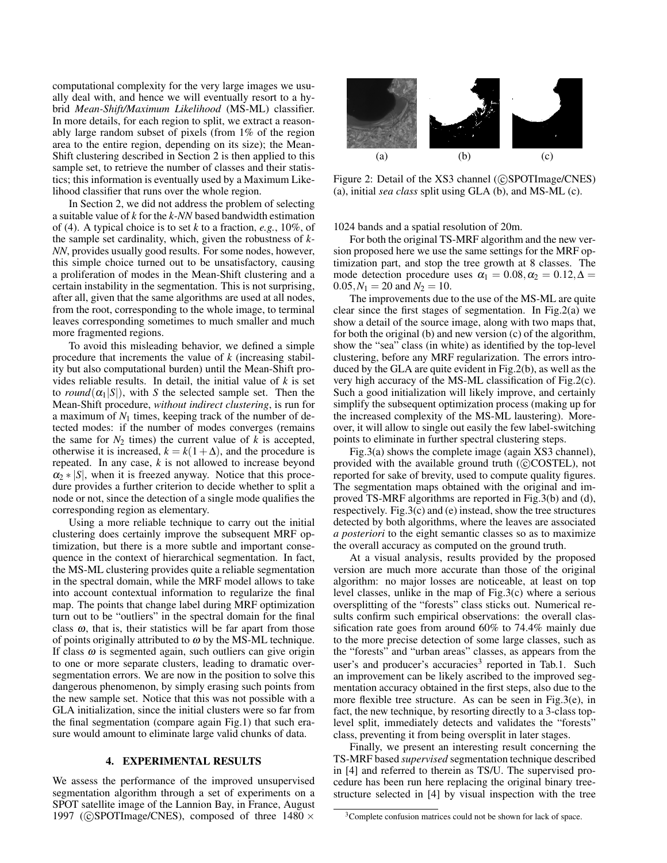computational complexity for the very large images we usually deal with, and hence we will eventually resort to a hybrid *Mean-Shift/Maximum Likelihood* (MS-ML) classifier. In more details, for each region to split, we extract a reasonably large random subset of pixels (from 1% of the region area to the entire region, depending on its size); the Mean-Shift clustering described in Section 2 is then applied to this sample set, to retrieve the number of classes and their statistics; this information is eventually used by a Maximum Likelihood classifier that runs over the whole region.

In Section 2, we did not address the problem of selecting a suitable value of *k* for the *k-NN* based bandwidth estimation of (4). A typical choice is to set *k* to a fraction, *e.g.*, 10%, of the sample set cardinality, which, given the robustness of *k-NN*, provides usually good results. For some nodes, however, this simple choice turned out to be unsatisfactory, causing a proliferation of modes in the Mean-Shift clustering and a certain instability in the segmentation. This is not surprising, after all, given that the same algorithms are used at all nodes, from the root, corresponding to the whole image, to terminal leaves corresponding sometimes to much smaller and much more fragmented regions.

To avoid this misleading behavior, we defined a simple procedure that increments the value of *k* (increasing stability but also computational burden) until the Mean-Shift provides reliable results. In detail, the initial value of *k* is set to *round*( $\alpha_1|S|$ ), with *S* the selected sample set. Then the Mean-Shift procedure, *without indirect clustering*, is run for a maximum of  $N_1$  times, keeping track of the number of detected modes: if the number of modes converges (remains the same for  $N_2$  times) the current value of  $k$  is accepted, otherwise it is increased,  $k = k(1+\Delta)$ , and the procedure is repeated. In any case, *k* is not allowed to increase beyond  $\alpha_2$  \* |*S*|, when it is freezed anyway. Notice that this procedure provides a further criterion to decide whether to split a node or not, since the detection of a single mode qualifies the corresponding region as elementary.

Using a more reliable technique to carry out the initial clustering does certainly improve the subsequent MRF optimization, but there is a more subtle and important consequence in the context of hierarchical segmentation. In fact, the MS-ML clustering provides quite a reliable segmentation in the spectral domain, while the MRF model allows to take into account contextual information to regularize the final map. The points that change label during MRF optimization turn out to be "outliers" in the spectral domain for the final class  $\omega$ , that is, their statistics will be far apart from those of points originally attributed to  $\omega$  by the MS-ML technique. If class  $\omega$  is segmented again, such outliers can give origin to one or more separate clusters, leading to dramatic oversegmentation errors. We are now in the position to solve this dangerous phenomenon, by simply erasing such points from the new sample set. Notice that this was not possible with a GLA initialization, since the initial clusters were so far from the final segmentation (compare again Fig.1) that such erasure would amount to eliminate large valid chunks of data.

#### 4. EXPERIMENTAL RESULTS

We assess the performance of the improved unsupervised segmentation algorithm through a set of experiments on a SPOT satellite image of the Lannion Bay, in France, August 1997 (CSPOTImage/CNES), composed of three  $1480 \times$ 



Figure 2: Detail of the XS3 channel (CSPOTImage/CNES) (a), initial *sea class* split using GLA (b), and MS-ML (c).

1024 bands and a spatial resolution of 20m.

For both the original TS-MRF algorithm and the new version proposed here we use the same settings for the MRF optimization part, and stop the tree growth at 8 classes. The mode detection procedure uses  $\alpha_1 = 0.08, \alpha_2 = 0.12, \Delta =$  $0.05, N_1 = 20$  and  $N_2 = 10$ .

The improvements due to the use of the MS-ML are quite clear since the first stages of segmentation. In Fig.2(a) we show a detail of the source image, along with two maps that, for both the original (b) and new version (c) of the algorithm, show the "sea" class (in white) as identified by the top-level clustering, before any MRF regularization. The errors introduced by the GLA are quite evident in Fig.2(b), as well as the very high accuracy of the MS-ML classification of Fig.2(c). Such a good initialization will likely improve, and certainly simplify the subsequent optimization process (making up for the increased complexity of the MS-ML laustering). Moreover, it will allow to single out easily the few label-switching points to eliminate in further spectral clustering steps.

Fig.3(a) shows the complete image (again XS3 channel), provided with the available ground truth  $(C)$ COSTEL), not reported for sake of brevity, used to compute quality figures. The segmentation maps obtained with the original and improved TS-MRF algorithms are reported in Fig.3(b) and (d), respectively. Fig.3(c) and (e) instead, show the tree structures detected by both algorithms, where the leaves are associated *a posteriori* to the eight semantic classes so as to maximize the overall accuracy as computed on the ground truth.

At a visual analysis, results provided by the proposed version are much more accurate than those of the original algorithm: no major losses are noticeable, at least on top level classes, unlike in the map of Fig.3(c) where a serious oversplitting of the "forests" class sticks out. Numerical results confirm such empirical observations: the overall classification rate goes from around 60% to 74.4% mainly due to the more precise detection of some large classes, such as the "forests" and "urban areas" classes, as appears from the user's and producer's accuracies<sup>3</sup> reported in Tab.1. Such an improvement can be likely ascribed to the improved segmentation accuracy obtained in the first steps, also due to the more flexible tree structure. As can be seen in Fig.3(e), in fact, the new technique, by resorting directly to a 3-class toplevel split, immediately detects and validates the "forests" class, preventing it from being oversplit in later stages.

Finally, we present an interesting result concerning the TS-MRF based *supervised* segmentation technique described in [4] and referred to therein as TS/U. The supervised procedure has been run here replacing the original binary treestructure selected in [4] by visual inspection with the tree

<sup>&</sup>lt;sup>3</sup>Complete confusion matrices could not be shown for lack of space.